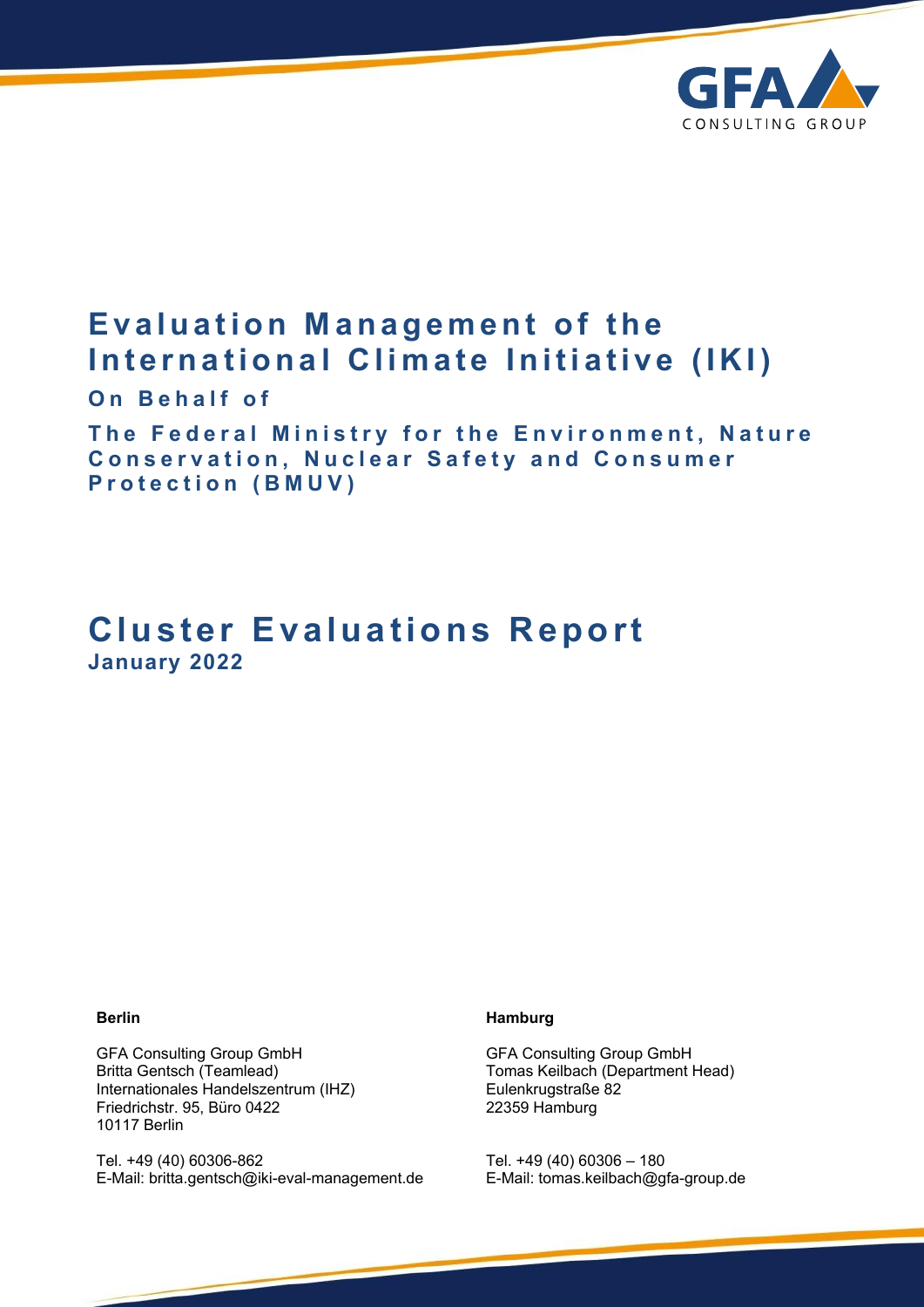

# **Evaluation Management of the International Climate Initiative (IKI)**

**On Behalf of** 

**The Federal Ministry for the Environment, Nature Conservation, Nuclear Safety and Consumer Protection (BMUV)** 

# **Cluster Evaluations Report January 2022**

### **Berlin**

GFA Consulting Group GmbH Britta Gentsch (Teamlead) Internationales Handelszentrum (IHZ) Friedrichstr. 95, Büro 0422 10117 Berlin

Tel. +49 (40) 60306-862 E-Mail: [britta.gentsch@iki-eval-management.de](mailto:britta.gentsch@iki-eval-management.de)

#### **Hamburg**

GFA Consulting Group GmbH Tomas Keilbach (Department Head) Eulenkrugstraße 82 22359 Hamburg

Tel. +49 (40) 60306 – 180 E-Mail: [tomas.keilbach@gfa-group.de](mailto:tomas.keilbach@gfa-group.de)

1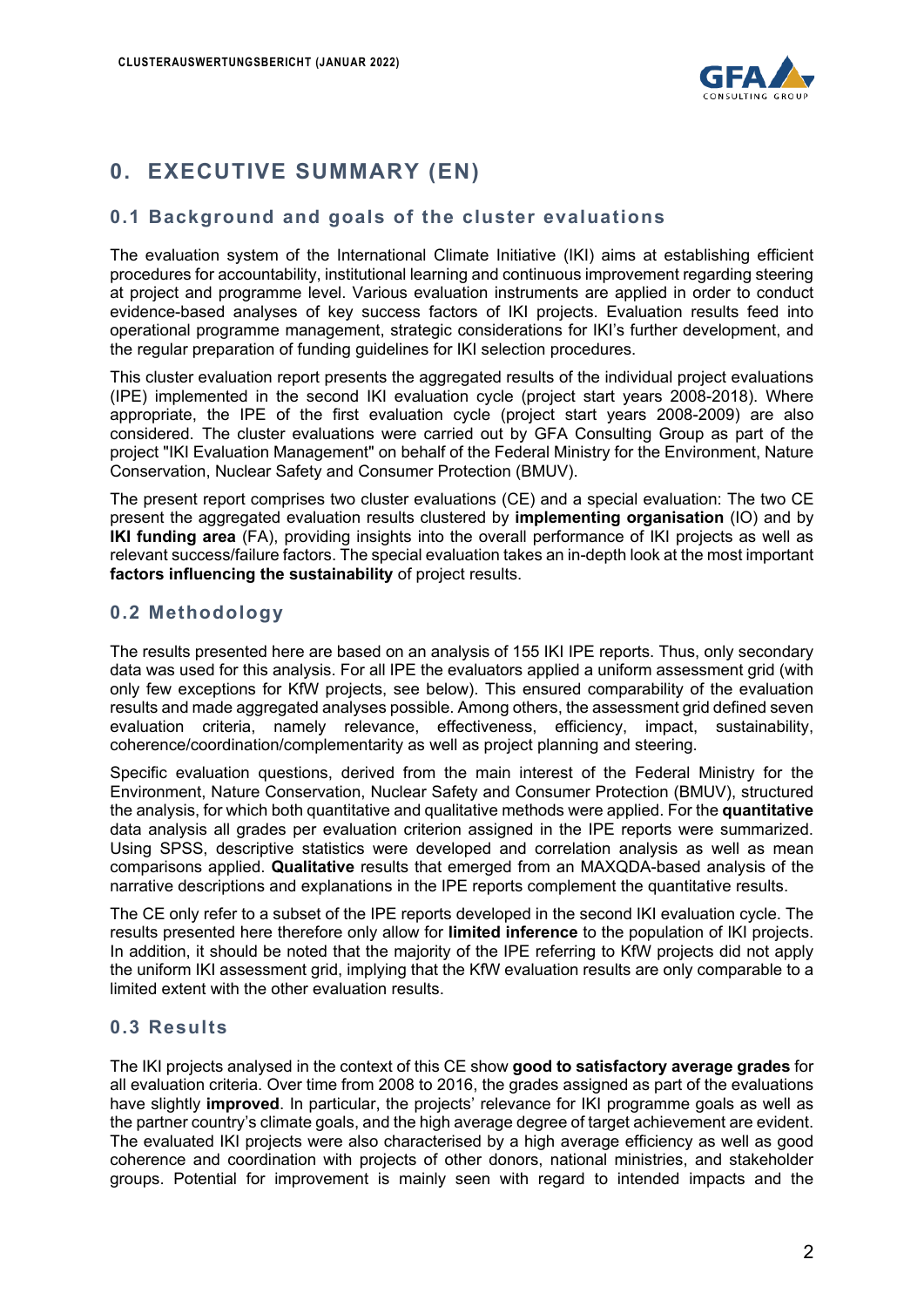

## **0. EXECUTIVE SUMMARY (EN)**

### **0.1 Background and goals of the cluster evaluations**

The evaluation system of the International Climate Initiative (IKI) aims at establishing efficient procedures for accountability, institutional learning and continuous improvement regarding steering at project and programme level. Various evaluation instruments are applied in order to conduct evidence-based analyses of key success factors of IKI projects. Evaluation results feed into operational programme management, strategic considerations for IKI's further development, and the regular preparation of funding guidelines for IKI selection procedures.

This cluster evaluation report presents the aggregated results of the individual project evaluations (IPE) implemented in the second IKI evaluation cycle (project start years 2008-2018). Where appropriate, the IPE of the first evaluation cycle (project start years 2008-2009) are also considered. The cluster evaluations were carried out by GFA Consulting Group as part of the project "IKI Evaluation Management" on behalf of the Federal Ministry for the Environment, Nature Conservation, Nuclear Safety and Consumer Protection (BMUV).

The present report comprises two cluster evaluations (CE) and a special evaluation: The two CE present the aggregated evaluation results clustered by **implementing organisation** (IO) and by **IKI funding area** (FA), providing insights into the overall performance of IKI projects as well as relevant success/failure factors. The special evaluation takes an in-depth look at the most important **factors influencing the sustainability** of project results.

## **0.2 Methodology**

The results presented here are based on an analysis of 155 IKI IPE reports. Thus, only secondary data was used for this analysis. For all IPE the evaluators applied a uniform assessment grid (with only few exceptions for KfW projects, see below). This ensured comparability of the evaluation results and made aggregated analyses possible. Among others, the assessment grid defined seven evaluation criteria, namely relevance, effectiveness, efficiency, impact, sustainability, coherence/coordination/complementarity as well as project planning and steering.

Specific evaluation questions, derived from the main interest of the Federal Ministry for the Environment, Nature Conservation, Nuclear Safety and Consumer Protection (BMUV), structured the analysis, for which both quantitative and qualitative methods were applied. For the **quantitative**  data analysis all grades per evaluation criterion assigned in the IPE reports were summarized. Using SPSS, descriptive statistics were developed and correlation analysis as well as mean comparisons applied. **Qualitative** results that emerged from an MAXQDA-based analysis of the narrative descriptions and explanations in the IPE reports complement the quantitative results.

The CE only refer to a subset of the IPE reports developed in the second IKI evaluation cycle. The results presented here therefore only allow for **limited inference** to the population of IKI projects. In addition, it should be noted that the majority of the IPE referring to KfW projects did not apply the uniform IKI assessment grid, implying that the KfW evaluation results are only comparable to a limited extent with the other evaluation results.

## **0.3 Results**

The IKI projects analysed in the context of this CE show **good to satisfactory average grades** for all evaluation criteria. Over time from 2008 to 2016, the grades assigned as part of the evaluations have slightly **improved**. In particular, the projects' relevance for IKI programme goals as well as the partner country's climate goals, and the high average degree of target achievement are evident. The evaluated IKI projects were also characterised by a high average efficiency as well as good coherence and coordination with projects of other donors, national ministries, and stakeholder groups. Potential for improvement is mainly seen with regard to intended impacts and the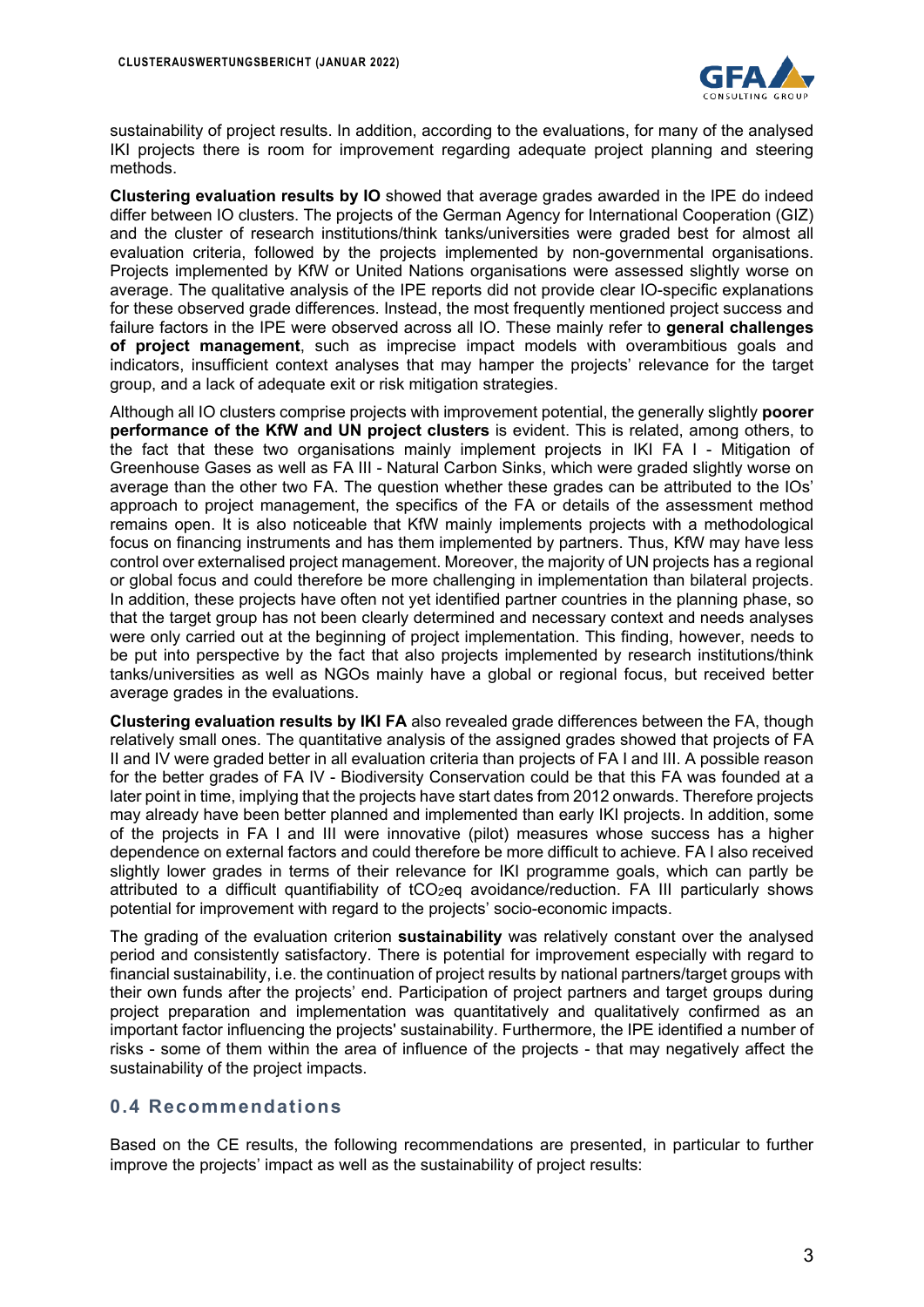

sustainability of project results. In addition, according to the evaluations, for many of the analysed IKI projects there is room for improvement regarding adequate project planning and steering methods.

**Clustering evaluation results by IO** showed that average grades awarded in the IPE do indeed differ between IO clusters. The projects of the German Agency for International Cooperation (GIZ) and the cluster of research institutions/think tanks/universities were graded best for almost all evaluation criteria, followed by the projects implemented by non-governmental organisations. Projects implemented by KfW or United Nations organisations were assessed slightly worse on average. The qualitative analysis of the IPE reports did not provide clear IO-specific explanations for these observed grade differences. Instead, the most frequently mentioned project success and failure factors in the IPE were observed across all IO. These mainly refer to **general challenges of project management**, such as imprecise impact models with overambitious goals and indicators, insufficient context analyses that may hamper the projects' relevance for the target group, and a lack of adequate exit or risk mitigation strategies.

Although all IO clusters comprise projects with improvement potential, the generally slightly **poorer performance of the KfW and UN project clusters** is evident. This is related, among others, to the fact that these two organisations mainly implement projects in IKI FA I - Mitigation of Greenhouse Gases as well as FA III - Natural Carbon Sinks, which were graded slightly worse on average than the other two FA. The question whether these grades can be attributed to the IOs' approach to project management, the specifics of the FA or details of the assessment method remains open. It is also noticeable that KfW mainly implements projects with a methodological focus on financing instruments and has them implemented by partners. Thus, KfW may have less control over externalised project management. Moreover, the majority of UN projects has a regional or global focus and could therefore be more challenging in implementation than bilateral projects. In addition, these projects have often not yet identified partner countries in the planning phase, so that the target group has not been clearly determined and necessary context and needs analyses were only carried out at the beginning of project implementation. This finding, however, needs to be put into perspective by the fact that also projects implemented by research institutions/think tanks/universities as well as NGOs mainly have a global or regional focus, but received better average grades in the evaluations.

**Clustering evaluation results by IKI FA** also revealed grade differences between the FA, though relatively small ones. The quantitative analysis of the assigned grades showed that projects of FA II and IV were graded better in all evaluation criteria than projects of FA I and III. A possible reason for the better grades of FA IV - Biodiversity Conservation could be that this FA was founded at a later point in time, implying that the projects have start dates from 2012 onwards. Therefore projects may already have been better planned and implemented than early IKI projects. In addition, some of the projects in FA I and III were innovative (pilot) measures whose success has a higher dependence on external factors and could therefore be more difficult to achieve. FA I also received slightly lower grades in terms of their relevance for IKI programme goals, which can partly be attributed to a difficult quantifiability of tCO<sub>2</sub>eq avoidance/reduction. FA III particularly shows potential for improvement with regard to the projects' socio-economic impacts.

The grading of the evaluation criterion **sustainability** was relatively constant over the analysed period and consistently satisfactory. There is potential for improvement especially with regard to financial sustainability, i.e. the continuation of project results by national partners/target groups with their own funds after the projects' end. Participation of project partners and target groups during project preparation and implementation was quantitatively and qualitatively confirmed as an important factor influencing the projects' sustainability. Furthermore, the IPE identified a number of risks - some of them within the area of influence of the projects - that may negatively affect the sustainability of the project impacts.

### **0.4 Recommendations**

Based on the CE results, the following recommendations are presented, in particular to further improve the projects' impact as well as the sustainability of project results: